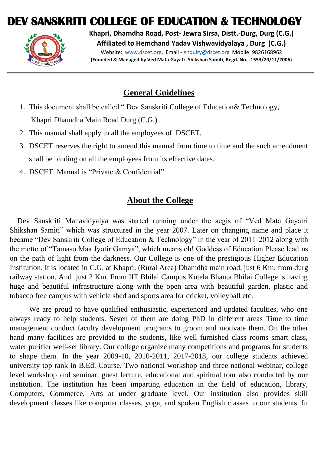# **DEV SANSKRITI COLLEGE OF EDUCATION & TECHNOLOGY**



**Khapri, Dhamdha Road, Post- Jewra Sirsa, Distt.-Durg, Durg (C.G.) Affiliated to Hemchand Yadav Vishwavidyalaya , Durg (C.G.)** Website: [www.dscet.org,](http://www.dscet.org/) Email - [enquiry@dscet.org](mailto:enquiry@dscet.org) Mobile: 9826168962 **(Founded & Managed by Ved Mata Gayatri Shikshan Samiti, Regd. No. -1553/20/11/2006)**

#### **General Guidelines**

- 1. This document shall be called " Dev Sanskriti College of Education& Technology, Khapri Dhamdha Main Road Durg (C.G.)
- 2. This manual shall apply to all the employees of DSCET.
- 3. DSCET reserves the right to amend this manual from time to time and the such amendment shall be binding on all the employees from its effective dates.
- 4. DSCET Manual is "Private & Confidential"

### **About the College**

 Dev Sanskriti Mahavidyalya was started running under the aegis of "Ved Mata Gayatri Shikshan Samiti" which was structured in the year 2007. Later on changing name and place it became "Dev Sanskriti College of Education & Technology" in the year of 2011-2012 along with the motto of "Tamaso Maa Jyotir Gamya", which means oh! Goddess of Education Please lead us on the path of light from the darkness. Our College is one of the prestigious Higher Education Institution. It is located in C.G. at Khapri, (Rural Area) Dhamdha main road, just 6 Km. from durg railway station. And just 2 Km. From IIT Bhilai Campus Kutela Bhanta Bhilai College is having huge and beautiful infrastructure along with the open area with beautiful garden, plastic and tobacco free campus with vehicle shed and sports area for cricket, volleyball etc.

We are proud to have qualified enthusiastic, experienced and updated faculties, who one always ready to help students. Seven of them are doing PhD in different areas Time to time management conduct faculty development programs to groom and motivate them. On the other hand many facilities are provided to the students, like well furnished class rooms smart class, water purifier well-set library. Our college organize many competitions and programs for students to shape them. In the year 2009-10, 2010-2011, 2017-2018, our college students achieved university top rank in B.Ed. Course. Two national workshop and three national webinar, college level workshop and seminar, guest lecture, educational and spiritual tour also conducted by our institution. The institution has been imparting education in the field of education, library, Computers, Commerce, Arts at under graduate level. Our institution also provides skill development classes like computer classes, yoga, and spoken English classes to our students. In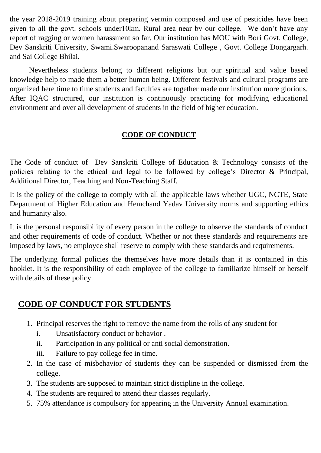the year 2018-2019 training about preparing vermin composed and use of pesticides have been given to all the govt. schools under10km. Rural area near by our college. We don't have any report of ragging or women harassment so far. Our institution has MOU with Bori Govt. College, Dev Sanskriti University, Swami.Swaroopanand Saraswati College , Govt. College Dongargarh. and Sai College Bhilai.

Nevertheless students belong to different religions but our spiritual and value based knowledge help to made them a better human being. Different festivals and cultural programs are organized here time to time students and faculties are together made our institution more glorious. After IQAC structured, our institution is continuously practicing for modifying educational environment and over all development of students in the field of higher education.

#### **CODE OF CONDUCT**

The Code of conduct of Dev Sanskriti College of Education & Technology consists of the policies relating to the ethical and legal to be followed by college's Director & Principal, Additional Director, Teaching and Non-Teaching Staff.

It is the policy of the college to comply with all the applicable laws whether UGC, NCTE, State Department of Higher Education and Hemchand Yadav University norms and supporting ethics and humanity also.

It is the personal responsibility of every person in the college to observe the standards of conduct and other requirements of code of conduct. Whether or not these standards and requirements are imposed by laws, no employee shall reserve to comply with these standards and requirements.

The underlying formal policies the themselves have more details than it is contained in this booklet. It is the responsibility of each employee of the college to familiarize himself or herself with details of these policy.

#### **CODE OF CONDUCT FOR STUDENTS**

- 1. Principal reserves the right to remove the name from the rolls of any student for
	- i. Unsatisfactory conduct or behavior .
	- ii. Participation in any political or anti social demonstration.
	- iii. Failure to pay college fee in time.
- 2. In the case of misbehavior of students they can be suspended or dismissed from the college.
- 3. The students are supposed to maintain strict discipline in the college.
- 4. The students are required to attend their classes regularly.
- 5. 75% attendance is compulsory for appearing in the University Annual examination.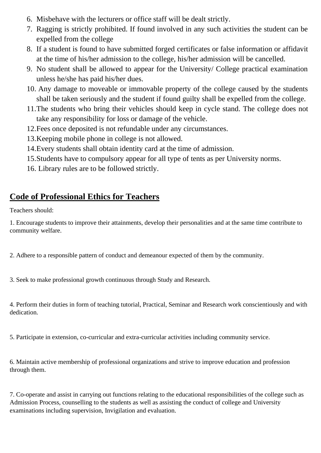- 6. Misbehave with the lecturers or office staff will be dealt strictly.
- 7. Ragging is strictly prohibited. If found involved in any such activities the student can be expelled from the college
- 8. If a student is found to have submitted forged certificates or false information or affidavit at the time of his/her admission to the college, his/her admission will be cancelled.
- 9. No student shall be allowed to appear for the University/ College practical examination unless he/she has paid his/her dues.
- 10. Any damage to moveable or immovable property of the college caused by the students shall be taken seriously and the student if found guilty shall be expelled from the college.
- 11.The students who bring their vehicles should keep in cycle stand. The college does not take any responsibility for loss or damage of the vehicle.
- 12.Fees once deposited is not refundable under any circumstances.
- 13.Keeping mobile phone in college is not allowed.
- 14.Every students shall obtain identity card at the time of admission.
- 15.Students have to compulsory appear for all type of tents as per University norms.
- 16. Library rules are to be followed strictly.

# **Code of Professional Ethics for Teachers**

Teachers should:

1. Encourage students to improve their attainments, develop their personalities and at the same time contribute to community welfare.

2. Adhere to a responsible pattern of conduct and demeanour expected of them by the community.

3. Seek to make professional growth continuous through Study and Research.

4. Perform their duties in form of teaching tutorial, Practical, Seminar and Research work conscientiously and with dedication.

5. Participate in extension, co-curricular and extra-curricular activities including community service.

6. Maintain active membership of professional organizations and strive to improve education and profession through them.

7. Co-operate and assist in carrying out functions relating to the educational responsibilities of the college such as Admission Process, counselling to the students as well as assisting the conduct of college and University examinations including supervision, Invigilation and evaluation.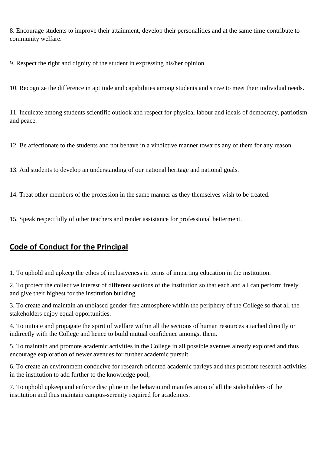8. Encourage students to improve their attainment, develop their personalities and at the same time contribute to community welfare.

9. Respect the right and dignity of the student in expressing his/her opinion.

10. Recognize the difference in aptitude and capabilities among students and strive to meet their individual needs.

11. Inculcate among students scientific outlook and respect for physical labour and ideals of democracy, patriotism and peace.

12. Be affectionate to the students and not behave in a vindictive manner towards any of them for any reason.

13. Aid students to develop an understanding of our national heritage and national goals.

14. Treat other members of the profession in the same manner as they themselves wish to be treated.

15. Speak respectfully of other teachers and render assistance for professional betterment.

#### **Code of Conduct for the Principal**

1. To uphold and upkeep the ethos of inclusiveness in terms of imparting education in the institution.

2. To protect the collective interest of different sections of the institution so that each and all can perform freely and give their highest for the institution building.

3. To create and maintain an unbiased gender-free atmosphere within the periphery of the College so that all the stakeholders enjoy equal opportunities.

4. To initiate and propagate the spirit of welfare within all the sections of human resources attached directly or indirectly with the College and hence to build mutual confidence amongst them.

5. To maintain and promote academic activities in the College in all possible avenues already explored and thus encourage exploration of newer avenues for further academic pursuit.

6. To create an environment conducive for research oriented academic parleys and thus promote research activities in the institution to add further to the knowledge pool,

7. To uphold upkeep and enforce discipline in the behavioural manifestation of all the stakeholders of the institution and thus maintain campus-serenity required for academics.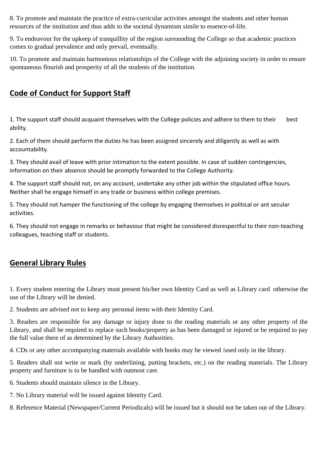8. To promote and maintain the practice of extra-curricular activities amongst the students and other human resources of the institution and thus adds to the societal dynamism simile to essence-of-life.

9. To endeavour for the upkeep of tranquillity of the region surrounding the College so that academic practices comes to gradual prevalence and only prevail, eventually.

10. To promote and maintain harmonious relationships of the College with the adjoining society in order to ensure spontaneous flourish and prosperity of all the students of the institution.

## **Code of Conduct for Support Staff**

1. The support staff should acquaint themselves with the College policies and adhere to them to their best ability.

2. Each of them should perform the duties he has been assigned sincerely and diligently as well as with accountability.

3. They should avail of leave with prior intimation to the extent possible. In case of sudden contingencies, information on their absence should be promptly forwarded to the College Authority.

4. The support staff should not, on any account, undertake any other job within the stipulated office hours. Neither shall he engage himself in any trade or business within college premises.

5. They should not hamper the functioning of the college by engaging themselves in political or ant secular activities.

6. They should not engage in remarks or behaviour that might be considered disrespectful to their non-teaching colleagues, teaching staff or students.

## **General Library Rules**

1. Every student entering the Library must present his/her own Identity Card as well as Library card otherwise the use of the Library will be denied.

2. Students are advised not to keep any personal items with their Identity Card.

3. Readers are responsible for any damage or injury done to the reading materials or any other property of the Library, and shall be required to replace such books/property as has been damaged or injured or be required to pay the full value there of as determined by the Library Authorities.

4. CDs or any other accompanying materials available with books may be viewed /used only in the library.

5. Readers shall not write or mark (by underlining, putting brackets, etc.) on the reading materials. The Library property and furniture is to be handled with outmost care.

6. Students should maintain silence in the Library.

7. No Library material will be issued against Identity Card.

8. Reference Material (Newspaper/Current Periodicals) will be issued but it should not be taken out of the Library.